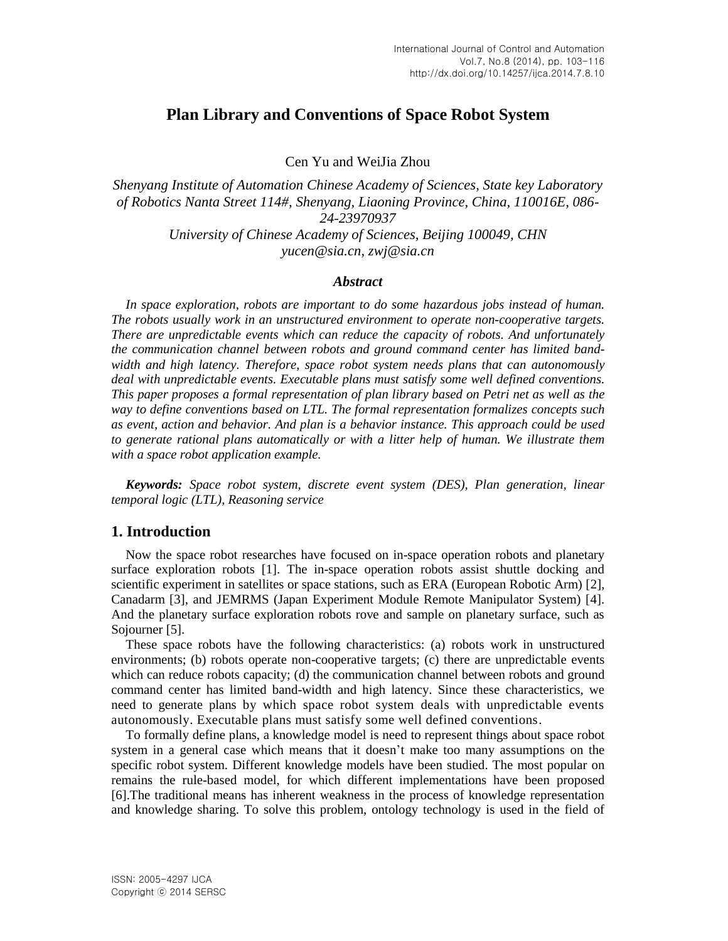# **Plan Library and Conventions of Space Robot System**

Cen Yu and WeiJia Zhou

*Shenyang Institute of Automation Chinese Academy of Sciences, State key Laboratory of Robotics Nanta Street 114#, Shenyang, Liaoning Province, China, 110016E, 086- 24-23970937 University of Chinese Academy of Sciences, Beijing 100049, CHN [yucen@sia.cn,](mailto:yucen@sia.cn) [zwj@sia.cn](mailto:zwj@sia.cn)*

#### *Abstract*

*In space exploration, robots are important to do some hazardous jobs instead of human. The robots usually work in an unstructured environment to operate non-cooperative targets. There are unpredictable events which can reduce the capacity of robots. And unfortunately the communication channel between robots and ground command center has limited bandwidth and high latency. Therefore, space robot system needs plans that can autonomously deal with unpredictable events. Executable plans must satisfy some well defined conventions. This paper proposes a formal representation of plan library based on Petri net as well as the way to define conventions based on LTL. The formal representation formalizes concepts such as event, action and behavior. And plan is a behavior instance. This approach could be used to generate rational plans automatically or with a litter help of human. We illustrate them with a space robot application example.*

*Keywords: Space robot system, discrete event system (DES), Plan generation, linear temporal logic (LTL), Reasoning service*

## **1. Introduction**

Now the space robot researches have focused on in-space operation robots and planetary surface exploration robots [1]. The in-space operation robots assist shuttle docking and scientific experiment in satellites or space stations, such as ERA (European Robotic Arm) [2], Canadarm [3], and JEMRMS (Japan Experiment Module Remote Manipulator System) [4]. And the planetary surface exploration robots rove and sample on planetary surface, such as Sojourner [5].

These space robots have the following characteristics: (a) robots work in unstructured environments; (b) robots operate non-cooperative targets; (c) there are unpredictable events which can reduce robots capacity; (d) the communication channel between robots and ground command center has limited band-width and high latency. Since these characteristics, we need to generate plans by which space robot system deals with unpredictable events autonomously. Executable plans must satisfy some well defined conventions.

To formally define plans, a knowledge model is need to represent things about space robot system in a general case which means that it doesn't make too many assumptions on the specific robot system. Different knowledge models have been studied. The most popular on remains the rule-based model, for which different implementations have been proposed [6].The traditional means has inherent weakness in the process of knowledge representation and knowledge sharing. To solve this problem, ontology technology is used in the field of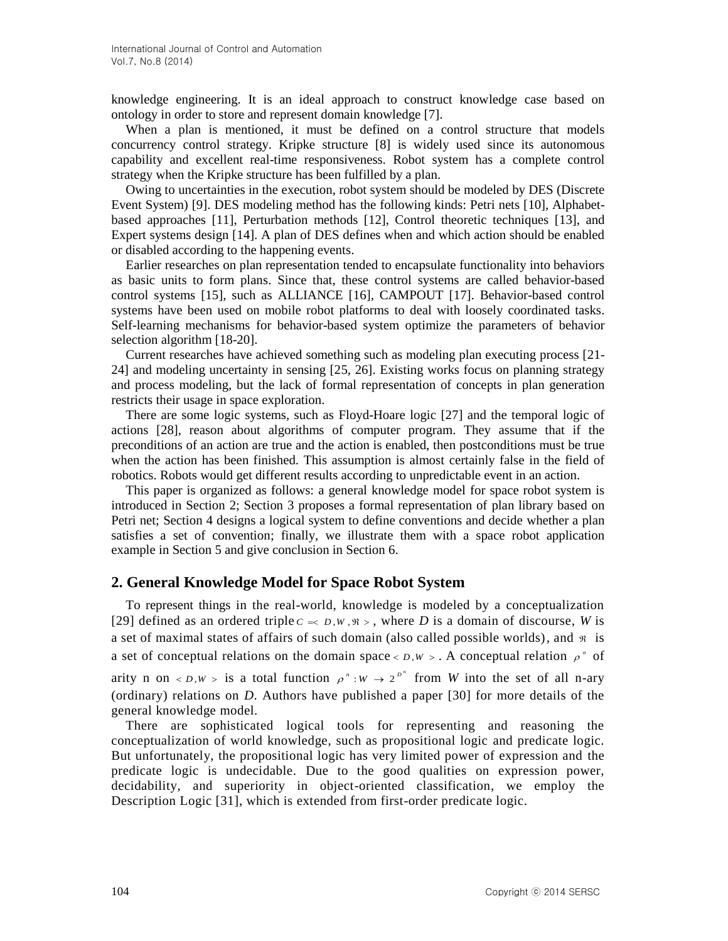knowledge engineering. It is an ideal approach to construct knowledge case based on ontology in order to store and represent domain knowledge [7].

When a plan is mentioned, it must be defined on a control structure that models concurrency control strategy. Kripke structure [8] is widely used since its autonomous capability and excellent real-time responsiveness. Robot system has a complete control strategy when the Kripke structure has been fulfilled by a plan.

Owing to uncertainties in the execution, robot system should be modeled by DES (Discrete Event System) [9]. DES modeling method has the following kinds: Petri nets [10], Alphabetbased approaches [11], Perturbation methods [12], Control theoretic techniques [13], and Expert systems design [14]. A plan of DES defines when and which action should be enabled or disabled according to the happening events.

Earlier researches on plan representation tended to encapsulate functionality into behaviors as basic units to form plans. Since that, these control systems are called behavior-based control systems [15], such as ALLIANCE [16], CAMPOUT [17]. Behavior-based control systems have been used on mobile robot platforms to deal with loosely coordinated tasks. Self-learning mechanisms for behavior-based system optimize the parameters of behavior selection algorithm [18-20].

Current researches have achieved something such as modeling plan executing process [21- 24] and modeling uncertainty in sensing [25, 26]. Existing works focus on planning strategy and process modeling, but the lack of formal representation of concepts in plan generation restricts their usage in space exploration.

There are some logic systems, such as Floyd-Hoare logic [27] and the temporal logic of actions [28], reason about algorithms of computer program. They assume that if the preconditions of an action are true and the action is enabled, then postconditions must be true when the action has been finished. This assumption is almost certainly false in the field of robotics. Robots would get different results according to unpredictable event in an action.

This paper is organized as follows: a general knowledge model for space robot system is introduced in Section 2; Section 3 proposes a formal representation of plan library based on Petri net; Section 4 designs a logical system to define conventions and decide whether a plan satisfies a set of convention; finally, we illustrate them with a space robot application example in Section 5 and give conclusion in Section 6.

## **2. General Knowledge Model for Space Robot System**

To represent things in the real-world, knowledge is modeled by a conceptualization [29] defined as an ordered triple  $c \leq D, w, \Re, \Phi$ , where *D* is a domain of discourse, *W* is a set of maximal states of affairs of such domain (also called possible worlds), and  $\Re$  is a set of conceptual relations on the domain space  $\langle D, W \rangle$ . A conceptual relation  $\rho^n$  of arity n on  $\langle D, W \rangle$  is a total function  $\rho^n : W \to 2^{p^n}$  from *W* into the set of all n-ary (ordinary) relations on *D*. Authors have published a paper [30] for more details of the general knowledge model.

There are sophisticated logical tools for representing and reasoning the conceptualization of world knowledge, such as propositional logic and predicate logic. But unfortunately, the propositional logic has very limited power of expression and the predicate logic is undecidable. Due to the good qualities on expression power, decidability, and superiority in object-oriented classification, we employ the Description Logic [31], which is extended from first-order predicate logic.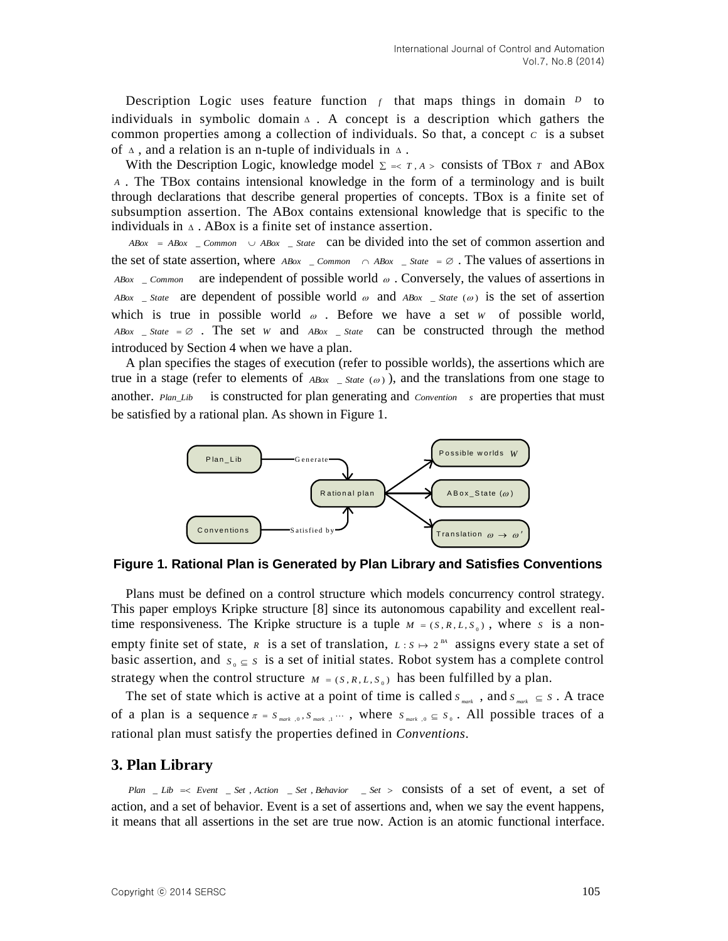Description Logic uses feature function  $f$  that maps things in domain  $D$  to individuals in symbolic domain  $\Delta$ . A concept is a description which gathers the common properties among a collection of individuals. So that, a concept  $c$  is a subset of  $\Delta$ , and a relation is an n-tuple of individuals in  $\Delta$ .

With the Description Logic, knowledge model  $\Sigma \leq T, A > \text{consists of TBox } T$  and ABox *A* . The TBox contains intensional knowledge in the form of a terminology and is built through declarations that describe general properties of concepts. TBox is a finite set of subsumption assertion. The ABox contains extensional knowledge that is specific to the individuals in  $\Delta$ . ABox is a finite set of instance assertion.

 $ABox = ABox \quad \text{Common} \quad \cup ABox \quad \text{State} \quad \text{can be divided into the set of common assertion and}$ the set of state assertion, where  $\text{ABox}$  \_ *Common*  $\cap$   $\text{ABox}$  \_ *State* =  $\emptyset$ . The values of assertions in *ABox* \_ *Common* are independent of possible world  $\omega$ . Conversely, the values of assertions in *ABox* \_ *State* are dependent of possible world  $\omega$  and *ABox* \_ *State* ( $\omega$ ) is the set of assertion which is true in possible world  $\omega$ . Before we have a set w of possible world,  $ABox$   $\_State = \emptyset$ . The set *W* and  $ABox$   $\_State$  can be constructed through the method introduced by Section 4 when we have a plan.

A plan specifies the stages of execution (refer to possible worlds), the assertions which are true in a stage (refer to elements of  $_{ABox}$  \_ *State* ( $\omega$ )), and the translations from one stage to another. *Plan\_Lib* is constructed for plan generating and *Convention s* are properties that must be satisfied by a rational plan. As shown in Figure 1.



**Figure 1. Rational Plan is Generated by Plan Library and Satisfies Conventions**

Plans must be defined on a control structure which models concurrency control strategy. This paper employs Kripke structure [8] since its autonomous capability and excellent realtime responsiveness. The Kripke structure is a tuple  $M = (S, R, L, S_0)$ , where s is a nonempty finite set of state, *R* is a set of translation,  $L : S \mapsto 2^{BA}$  assigns every state a set of basic assertion, and  $s_0 \subseteq s$  is a set of initial states. Robot system has a complete control strategy when the control structure  $M = (S, R, L, S_0)$  has been fulfilled by a plan.

The set of state which is active at a point of time is called  $S_{max}$ , and  $S_{max} \subseteq S$ . A trace of a plan is a sequence  $\pi = S_{max}$ ,  $0, S_{max}$ ,  $1, \cdots$ , where  $S_{max}$ ,  $0 \subseteq S_0$ . All possible traces of a rational plan must satisfy the properties defined in *Conventions*.

## **3. Plan Library**

*Plan* \_ *Lib Event* \_ *Set* , *Action* \_ *Set* , *Behavior* \_ *Set* consists of a set of event, a set of action, and a set of behavior. Event is a set of assertions and, when we say the event happens, it means that all assertions in the set are true now. Action is an atomic functional interface.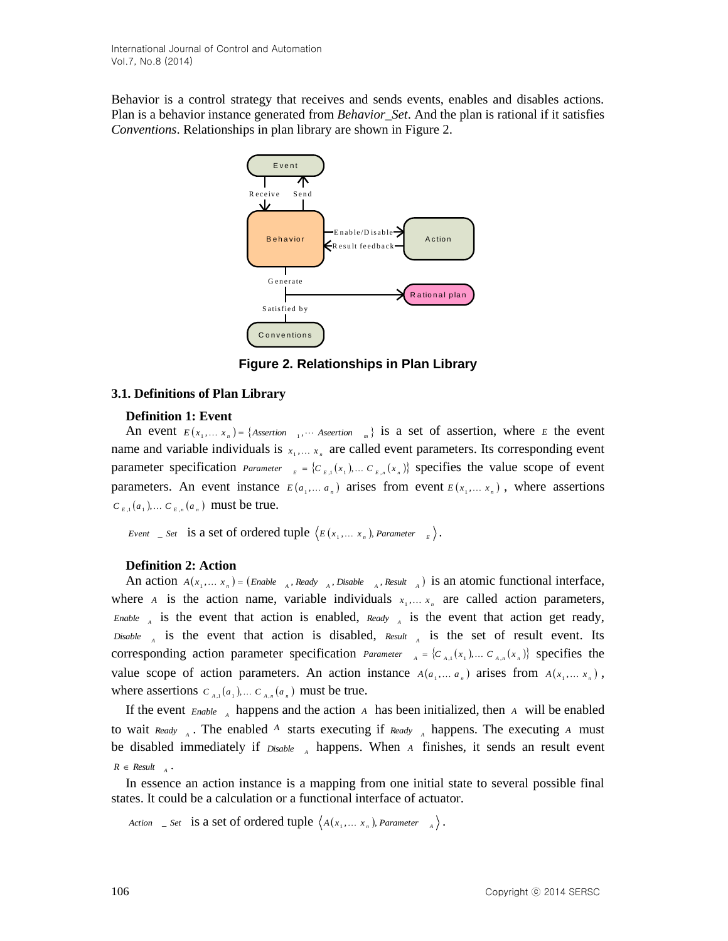Behavior is a control strategy that receives and sends events, enables and disables actions. Plan is a behavior instance generated from *Behavior\_Set*. And the plan is rational if it satisfies *Conventions*. Relationships in plan library are shown in Figure 2.



**Figure 2. Relationships in Plan Library**

## **3.1. Definitions of Plan Library**

### **Definition 1: Event**

An event  $E(x_1,...,x_n) = \{ \text{Association } x_1, \dots \text{A}{\text{section } x_n} \}$  is a set of assertion, where *E* the event name and variable individuals is  $x_1, \ldots, x_n$  are called event parameters. Its corresponding event parameter specification *Parameter*  $E = \{C_{E,1}(x_1), \dots, C_{E,n}(x_n)\}$  specifies the value scope of event parameters. An event instance  $E(a_1, \ldots, a_n)$  arises from event  $E(x_1, \ldots, x_n)$ , where assertions  $C_{E,1}(a_1),... C_{E,n}(a_n)$  must be true.

*Event*  $\subseteq$  *Set* is a set of ordered tuple  $\langle E(x_1, \ldots, x_n) \rangle$ , Parameter  $\subseteq$   $\subseteq$   $\rangle$ .

## **Definition 2: Action**

An action  $A(x_1,...,x_n) = (Enable_{A}^{\dagger}, Ready_{A}^{\dagger}, Disable_{A}^{\dagger}, Result_{A})$  is an atomic functional interface, where *A* is the action name, variable individuals  $x_1, \ldots, x_n$  are called action parameters,  $E_{\text{Table A}}$  is the event that action is enabled,  $Ready_{A}$  is the event that action get ready, *Disable*  $\Lambda$  is the event that action is disabled, *Result*  $\Lambda$  is the set of result event. Its corresponding action parameter specification *Parameter*  $A = \{C_{A,1}(x_1), \dots C_{A,n}(x_n)\}$  specifies the value scope of action parameters. An action instance  $A(a_1,..., a_n)$  arises from  $A(x_1,..., x_n)$ , where assertions  $C_{A,1}(a_1), \ldots, C_{A,n}(a_n)$  must be true.

If the event  $_{\text{Enable}}$   $_A$  happens and the action  $_A$  has been initialized, then  $_A$  will be enabled to wait  $\text{Ready}$ <sub>A</sub>. The enabled A starts executing if  $\text{Ready}$ <sub>A</sub> happens. The executing A must be disabled immediately if  $Disable \ A$  happens. When *A* finishes, it sends an result event  $R \in Result_{A}$ .

In essence an action instance is a mapping from one initial state to several possible final states. It could be a calculation or a functional interface of actuator.

*Action*  $\subseteq$  *Set* is a set of ordered tuple  $\langle A(x_1, \ldots, x_n),$  Parameter  $\longrightarrow$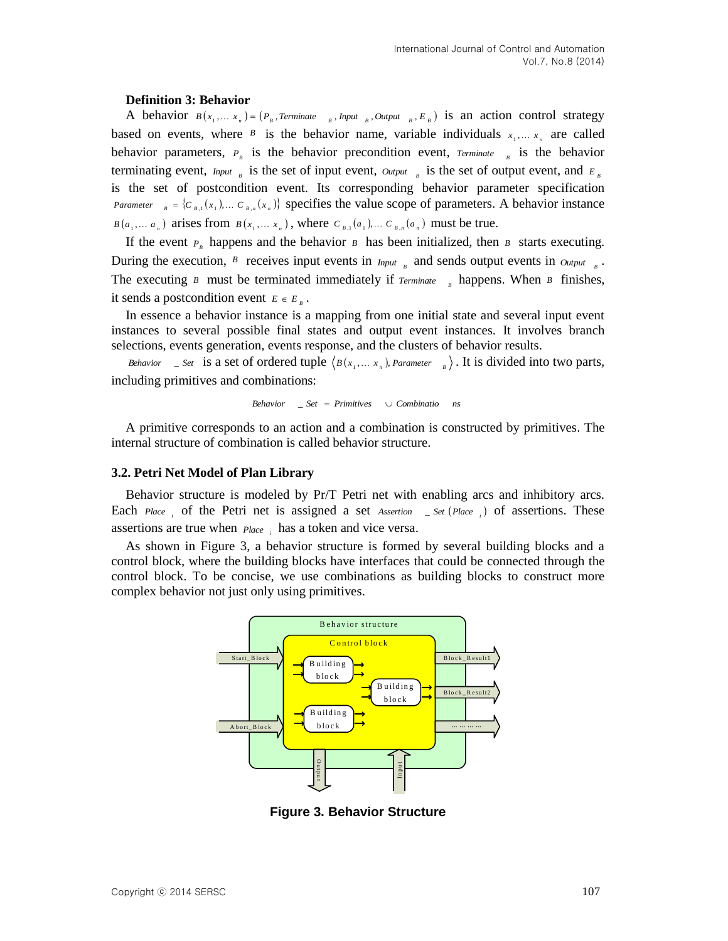#### **Definition 3: Behavior**

A behavior  $B(x_1,...,x_n) = (P_B, T \text{erminate}_{B}, \text{Input}_{B}, \text{Output}_{B}, E_B)$  is an action control strategy based on events, where  $\beta$  is the behavior name, variable individuals  $x_1, \ldots, x_n$  are called behavior parameters,  $P_{B}$  is the behavior precondition event,  $T$ erminate  $B$  is the behavior terminating event,  $_{I\!P\!D\!U}$  is the set of input event,  $_{O\!U\!P\!D\!U}$  is the set of output event, and  $_{E_B}$ is the set of postcondition event. Its corresponding behavior parameter specification *B B B D B I*  $(C_{B,1}(x_1), \ldots, C_{B,n}(x_n))$  specifies the value scope of parameters. A behavior instance  $B(a_1, \ldots, a_n)$  arises from  $B(x_1, \ldots, x_n)$ , where  $C_{B,1}(a_1), \ldots, C_{B,n}(a_n)$  must be true.

If the event  $P_{\scriptscriptstyle B}$  happens and the behavior  $\scriptstyle B$  has been initialized, then  $\scriptstyle B$  starts executing. During the execution,  $\beta$  receives input events in  $I_{nput}$  and sends output events in  $O_{utput}$ . The executing  $B$  must be terminated immediately if  $Terminate$   $B$  happens. When  $B$  finishes, it sends a postcondition event  $E \in E_B$ .

In essence a behavior instance is a mapping from one initial state and several input event instances to several possible final states and output event instances. It involves branch selections, events generation, events response, and the clusters of behavior results.

*Behavior*  $\int$  *\_ Set* is a set of ordered tuple  $\langle B(x_1, \ldots, x_n) \rangle$ , *Parameter*  $\int_B$ . It is divided into two parts, including primitives and combinations:

$$
Behavior \quad \_ Set = Primitives \quad \cup Combinatio \quad ns
$$

A primitive corresponds to an action and a combination is constructed by primitives. The internal structure of combination is called behavior structure.

### **3.2. Petri Net Model of Plan Library**

Behavior structure is modeled by Pr/T Petri net with enabling arcs and inhibitory arcs. Each  $Place_i$  of the Petri net is assigned a set *Assertion*  $S$  *Let*  $(Place_i)$  of assertions. These assertions are true when *Place*, has a token and vice versa.

As shown in Figure 3, a behavior structure is formed by several building blocks and a control block, where the building blocks have interfaces that could be connected through the control block. To be concise, we use combinations as building blocks to construct more complex behavior not just only using primitives.



**Figure 3. Behavior Structure**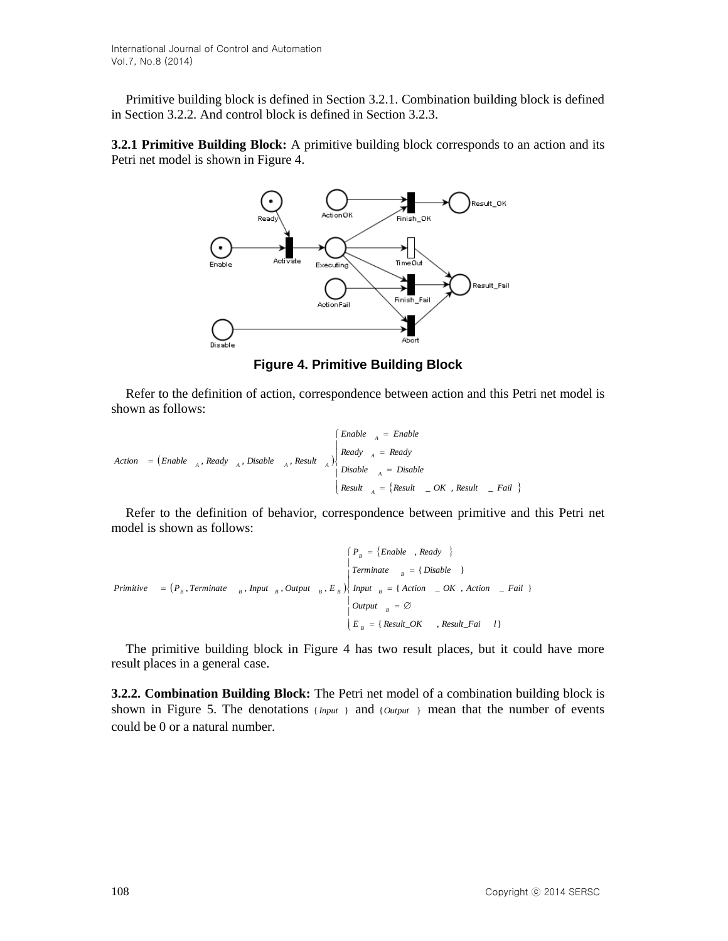Primitive building block is defined in Section 3.2.1. Combination building block is defined in Section 3.2.2. And control block is defined in Section 3.2.3.

**3.2.1 Primitive Building Block:** A primitive building block corresponds to an action and its Petri net model is shown in Figure 4.



**Figure 4. Primitive Building Block**

Refer to the definition of action, correspondence between action and this Petri net model is shown as follows:

Action = (Enable <sub>A</sub>, Ready <sub>A</sub>, Disable <sub>A</sub>, Result <sub>A</sub>)  
\n
$$
\begin{cases}\n\text{Enable} & \xrightarrow{R} \text{eady} \\
\text{Realy} & \xrightarrow{R} = \text{Ready} \\
\text{Disable} & \xrightarrow{R} = \text{Disable} \\
\text{Result} & \xrightarrow{R} = \{\text{Result} \quad \_OK \text{, Result} \quad \_ Fail \}\n\end{cases}
$$

Refer to the definition of behavior, correspondence between primitive and this Petri net model is shown as follows:

$$
Primitive = (P_B, Terminate_{B}, Input_{B}, Output_{B}, E_B) \begin{cases} P_B = \{Enable, Ready \} \\ Terminate_{B} = \{ Disable \} \\ Input_{B} = \{ Action_{B}, Action_{B} \} \\ Output_{B} = \emptyset \\ E_B = \{ Result_{B} \} \end{cases}
$$

The primitive building block in Figure 4 has two result places, but it could have more result places in a general case.

**3.2.2. Combination Building Block:** The Petri net model of a combination building block is shown in Figure 5. The denotations  ${_{Input}}$  and  ${_{Iouput}}$  mean that the number of events could be 0 or a natural number.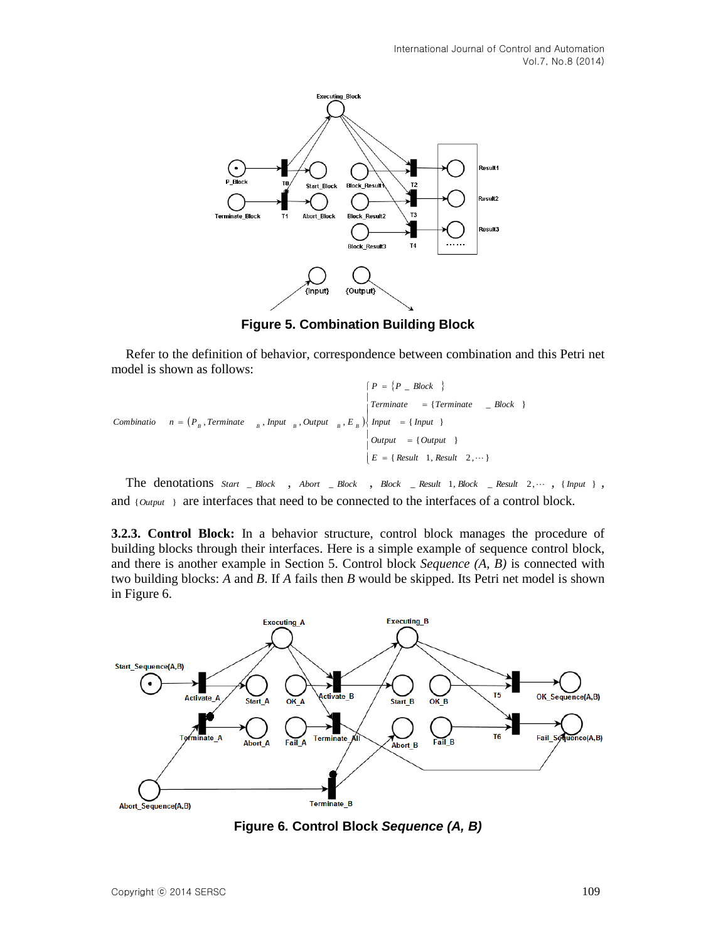

**Figure 5. Combination Building Block**

Refer to the definition of behavior, correspondence between combination and this Petri net model is shown as follows:

```
{\rm Combinatio} n = \left(P_B, \text{Terminate} \atop B \text{, } B \text{, } B \text{, } B \right\} \left\{ \text{Input} = \text{Tinput} \right\}\left\{ P = \{P \subseteq Block \} \right\}\mathbf{I}\overline{\phantom{a}}\begin{bmatrix}Output = {Output }
                                                                                                                                                                                                                                                                                       E = \{ Result \ 1, Result \ 2, \dots \}\overline{1}\begin{bmatrix} \n1 & \text{Terminate} \\
1 & \text{Terminate} \\
1 & \text{Terminate} \\
1 & \text{Terminate} \\
1 & \text{Terminate} \\
1 & \text{Terminate} \\
2 & \text{Block} \\
3 & \text{Terminate} \\
4 & \text{Terminate} \\
5 & \text{Terminate} \\
6 & \text{Terminate} \\
6 & \text{Terminate} \\
8 & \text{Terminate} \\
9 & \text{Terminate} \\
1 & \text{Terminate} \\
1 & \text{Terminate} \\
1 & \text{Terminate} \\
1 & \text{Terminate} \\
1 & \text{Terminate} \\
2 & \text{Block} \\
8 & \text{Terminate} \\
1 & \text{Terminate} \\
1 & \text{Terminate} \\
1 & \text{Terminate
```
The denotations  $Start \_ Block \_$ ,  $Abort \_ Block \_$ ,  $Block \_$  *Result* 1,  $Block \_$  *Result* 2,  $\cdots$  , {  $Input \}$  , and {Output} are interfaces that need to be connected to the interfaces of a control block.

**3.2.3. Control Block:** In a behavior structure, control block manages the procedure of building blocks through their interfaces. Here is a simple example of sequence control block, and there is another example in Section 5. Control block *Sequence (A, B)* is connected with two building blocks: *A* and *B*. If *A* fails then *B* would be skipped. Its Petri net model is shown in Figure 6.



**Figure 6. Control Block** *Sequence (A, B)*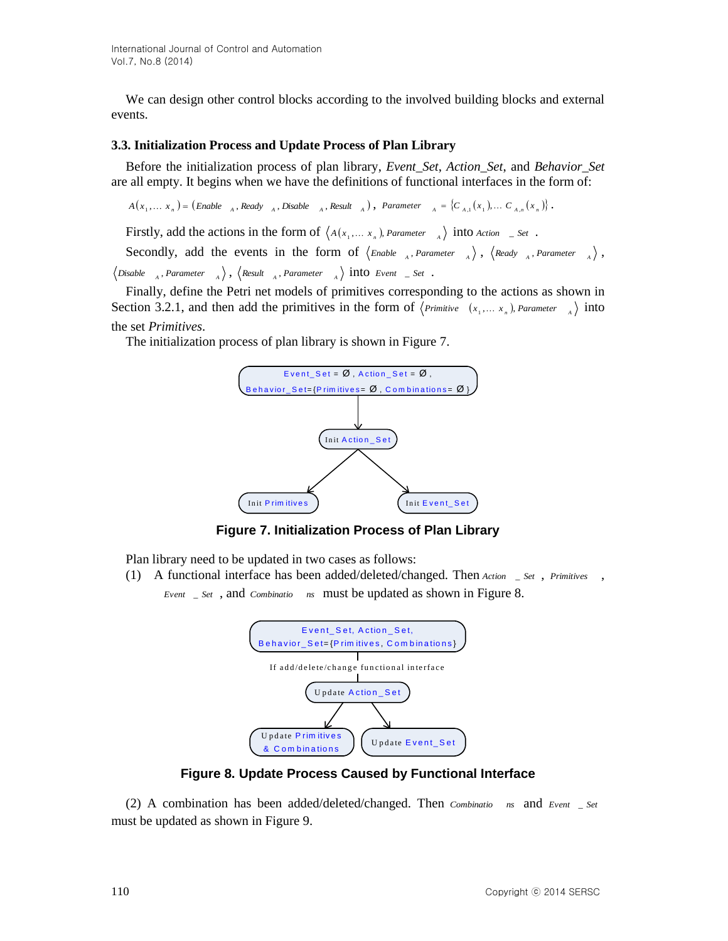We can design other control blocks according to the involved building blocks and external events.

#### **3.3. Initialization Process and Update Process of Plan Library**

Before the initialization process of plan library, *Event\_Set*, *Action\_Set*, and *Behavior\_Set* are all empty. It begins when we have the definitions of functional interfaces in the form of:

 $A(x_1,...,x_n) = (Enable_{A}, Ready_{A}, Disable_{A}, Result_{A}), Parameter_{A} = {C_{A,1}(x_1),... C_{A,n}(x_n)}$ 

Firstly, add the actions in the form of  $\langle A(x_1,...,x_n),$  *Parameter*  $\lambda$  into Action \_ Set.

Secondly, add the events in the form of  $\langle$  *Enable* <sub>A</sub>, *Parameter*  $\langle$   $\rangle$ ,  $\langle$  *Ready* <sub>A</sub>, *Parameter*  $\langle$   $\rangle$ ,  $\Delta$  *Disable*  $\Delta$ <sub>*A</sub>*, *Parameter*  $\Delta$ <sub>*A*</sub>  $\Delta$ </sup>, *Result*  $\Delta$ <sub>*A*</sub>, *Parameter*  $\Delta$ <sub>*A*</sub> $\Delta$ </sub> **into** *Event*  $\Delta$  *Set* **.** 

Finally, define the Petri net models of primitives corresponding to the actions as shown in Section 3.2.1, and then add the primitives in the form of  $\langle P_{\text{r} \text{imitive}} (x_1, \ldots, x_n) \rangle$  *Parameter*  $\langle A \rangle$  into the set *Primitives*.

The initialization process of plan library is shown in Figure 7.



**Figure 7. Initialization Process of Plan Library**

Plan library need to be updated in two cases as follows:

(1) A functional interface has been added/deleted/changed. Then *Action* \_ *Set* , *Primitives* , *Event* \_ *Set* , and *Combinatio ns* must be updated as shown in Figure 8.



**Figure 8. Update Process Caused by Functional Interface**

(2) A combination has been added/deleted/changed. Then *Combinatio ns* and *Event* \_ *Set* must be updated as shown in Figure 9.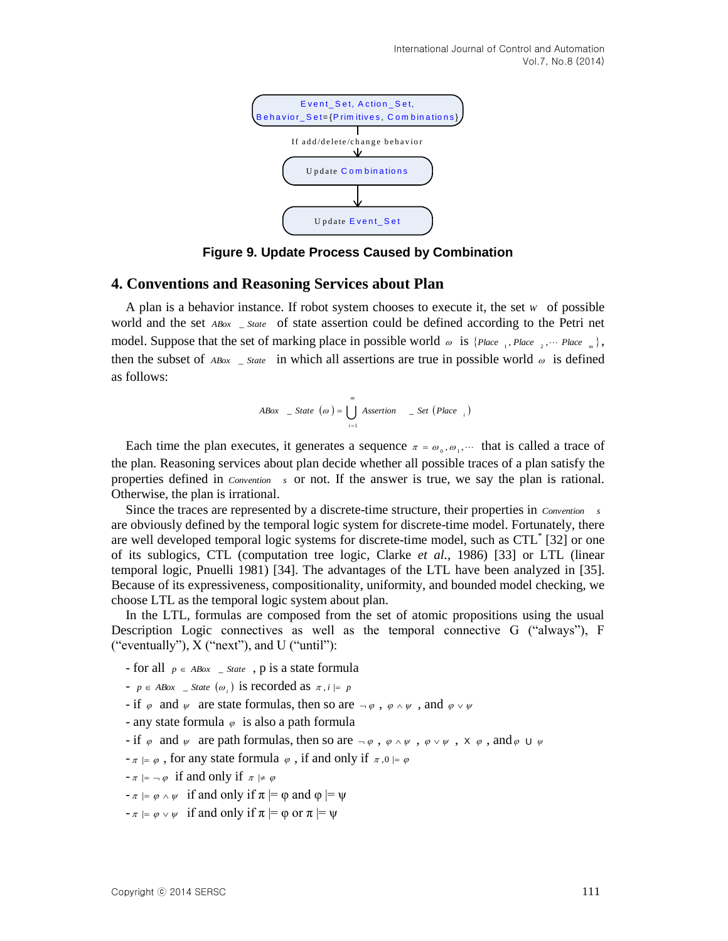

**Figure 9. Update Process Caused by Combination**

### **4. Conventions and Reasoning Services about Plan**

A plan is a behavior instance. If robot system chooses to execute it, the set *W* of possible world and the set *ABox* \_ *State* of state assertion could be defined according to the Petri net model. Suppose that the set of marking place in possible world  $\omega$  is  $\{Place_{-1}, Place_{-2}, \dots~Place_{-m}\},$ then the subset of  $_{ABox}$  \_ *State* in which all assertions are true in possible world  $_{\omega}$  is defined as follows:

$$
ABox \quad \_ \quad State \quad (\omega) = \bigcup_{i=1}^{m} \text{A}{\text{ssertion}} \quad \_ \text{Set} \text{ (Place }_{i} \text{)}
$$

Each time the plan executes, it generates a sequence  $\pi = \omega_0, \omega_1, \dots$  that is called a trace of the plan. Reasoning services about plan decide whether all possible traces of a plan satisfy the properties defined in *Convention s* or not. If the answer is true, we say the plan is rational. Otherwise, the plan is irrational.

Since the traces are represented by a discrete-time structure, their properties in *Convention s* are obviously defined by the temporal logic system for discrete-time model. Fortunately, there are well developed temporal logic systems for discrete-time model, such as CTL\* [32] or one of its sublogics, CTL (computation tree logic, Clarke *et al.*, 1986) [33] or LTL (linear temporal logic, Pnuelli 1981) [34]. The advantages of the LTL have been analyzed in [35]. Because of its expressiveness, compositionality, uniformity, and bounded model checking, we choose LTL as the temporal logic system about plan.

In the LTL, formulas are composed from the set of atomic propositions using the usual Description Logic connectives as well as the temporal connective G ("always"), F ("eventually"), X ("next"), and U ("until"):

- for all  $p \in ABox$  \_ *State*, p is a state formula
- $p \in ABox$  \_ *State*  $(\omega_i)$  is recorded as  $\pi, i \models p$
- if  $\varphi$  and  $\psi$  are state formulas, then so are  $-\varphi$ ,  $\varphi \wedge \psi$ , and  $\varphi \vee \psi$
- any state formula  $\varphi$  is also a path formula
- if  $\varphi$  and  $\psi$  are path formulas, then so are  $-\varphi$ ,  $\varphi \wedge \psi$ ,  $\varphi \vee \psi$ ,  $X \varphi$ , and  $\varphi \cup \psi$
- $-\pi \models \varphi$ , for any state formula  $\varphi$ , if and only if  $\pi, 0 \models \varphi$
- $-\pi \models \neg \varphi$  if and only if  $\pi \not\models \varphi$
- $-\pi \models \varphi \land \psi$  if and only if  $\pi \models \varphi$  and  $\varphi \models \psi$
- $-\pi \models \varphi \lor \psi$  if and only if  $\pi \models \varphi$  or  $\pi \models \psi$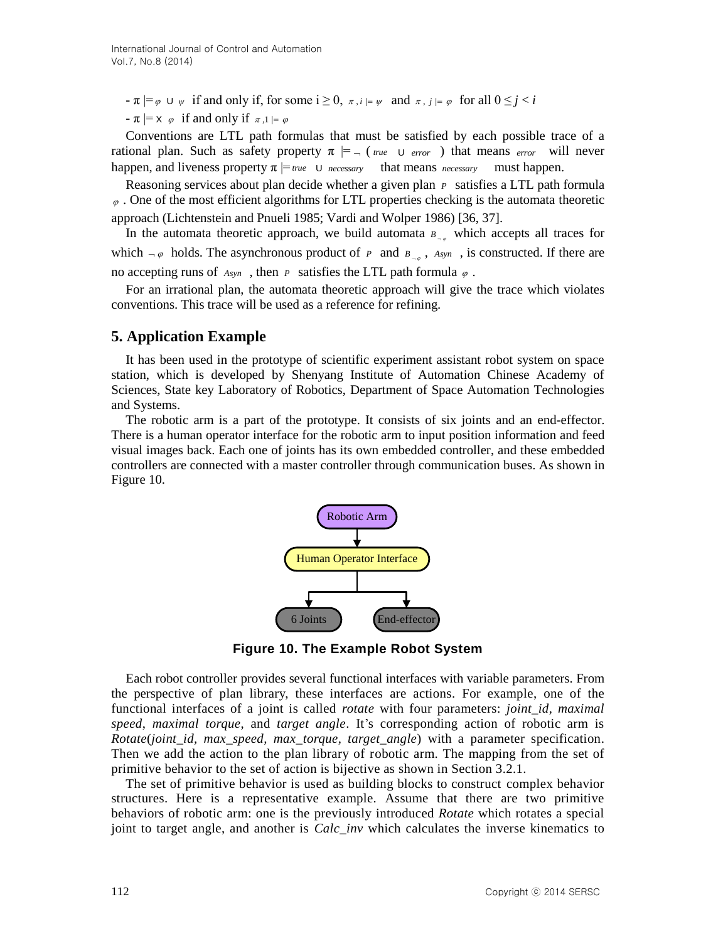$-\pi \models \varphi \cup \psi$  if and only if, for some  $i \ge 0$ ,  $\pi, i \models \psi$  and  $\pi, j \models \varphi$  for all  $0 \le j < i$ 

 $-\pi \mid = \times \varphi$  if and only if  $\pi, 1 \mid = \varphi$ 

Conventions are LTL path formulas that must be satisfied by each possible trace of a rational plan. Such as safety property  $\pi$  |=  $\pi$  (*true*  $\pi$  *error*) that means *error* will never happen, and liveness property  $\pi \models$  *true* U *necessary* that means *necessary* must happen.

Reasoning services about plan decide whether a given plan *P* satisfies a LTL path formula  $\varphi$ . One of the most efficient algorithms for LTL properties checking is the automata theoretic approach (Lichtenstein and Pnueli 1985; Vardi and Wolper 1986) [36, 37].

In the automata theoretic approach, we build automata  $B_{\alpha}$  which accepts all traces for which  $-\varphi$  holds. The asynchronous product of P and  $B_{-\varphi}$ ,  $Asyn$ , is constructed. If there are no accepting runs of  $A_{sym}$ , then *P* satisfies the LTL path formula  $\varphi$ .

For an irrational plan, the automata theoretic approach will give the trace which violates conventions. This trace will be used as a reference for refining.

## **5. Application Example**

It has been used in the prototype of scientific experiment assistant robot system on space station, which is developed by Shenyang Institute of Automation Chinese Academy of Sciences, State key Laboratory of Robotics, Department of Space Automation Technologies and Systems.

The robotic arm is a part of the prototype. It consists of six joints and an end-effector. There is a human operator interface for the robotic arm to input position information and feed visual images back. Each one of joints has its own embedded controller, and these embedded controllers are connected with a master controller through communication buses. As shown in Figure 10.



**Figure 10. The Example Robot System**

Each robot controller provides several functional interfaces with variable parameters. From the perspective of plan library, these interfaces are actions. For example, one of the functional interfaces of a joint is called *rotate* with four parameters: *joint\_id, maximal speed*, *maximal torque*, and *target angle*. It's corresponding action of robotic arm is *Rotate*(*joint\_id, max\_speed, max\_torque, target\_angle*) with a parameter specification. Then we add the action to the plan library of robotic arm. The mapping from the set of primitive behavior to the set of action is bijective as shown in Section 3.2.1.

The set of primitive behavior is used as building blocks to construct complex behavior structures. Here is a representative example. Assume that there are two primitive behaviors of robotic arm: one is the previously introduced *Rotate* which rotates a special joint to target angle, and another is *Calc\_inv* which calculates the inverse kinematics to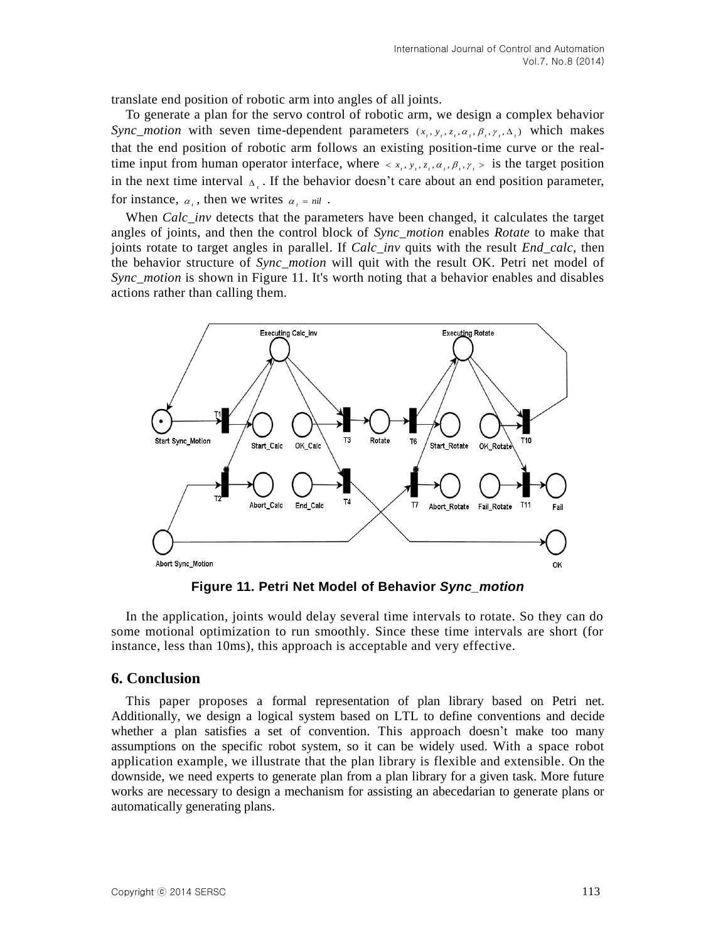translate end position of robotic arm into angles of all joints.

To generate a plan for the servo control of robotic arm, we design a complex behavior *Sync\_motion* with seven time-dependent parameters  $(x_t, y_t, z_t, \alpha_t, \beta_t, \gamma_t, \Delta_t)$  which makes that the end position of robotic arm follows an existing position-time curve or the realtime input from human operator interface, where  $\langle x_i, y_i, z_i, \alpha_i, \beta_i, \gamma_i \rangle$  is the target position in the next time interval  $\Delta_i$ . If the behavior doesn't care about an end position parameter, for instance,  $\alpha_i$ , then we writes  $\alpha_i = nil$ .

When *Calc\_inv* detects that the parameters have been changed, it calculates the target angles of joints, and then the control block of *Sync\_motion* enables *Rotate* to make that joints rotate to target angles in parallel. If *Calc\_inv* quits with the result *End\_calc*, then the behavior structure of *Sync\_motion* will quit with the result OK. Petri net model of *Sync\_motion* is shown in Figure 11. It's worth noting that a behavior enables and disables actions rather than calling them.



**Figure 11. Petri Net Model of Behavior** *Sync\_motion*

In the application, joints would delay several time intervals to rotate. So they can do some motional optimization to run smoothly. Since these time intervals are short (for instance, less than 10ms), this approach is acceptable and very effective.

#### **6. Conclusion**

This paper proposes a formal representation of plan library based on Petri net. Additionally, we design a logical system based on LTL to define conventions and decide whether a plan satisfies a set of convention. This approach doesn't make too many assumptions on the specific robot system, so it can be widely used. With a space robot application example, we illustrate that the plan library is flexible and extensible. On the downside, we need experts to generate plan from a plan library for a given task. More future works are necessary to design a mechanism for assisting an abecedarian to generate plans or automatically generating plans.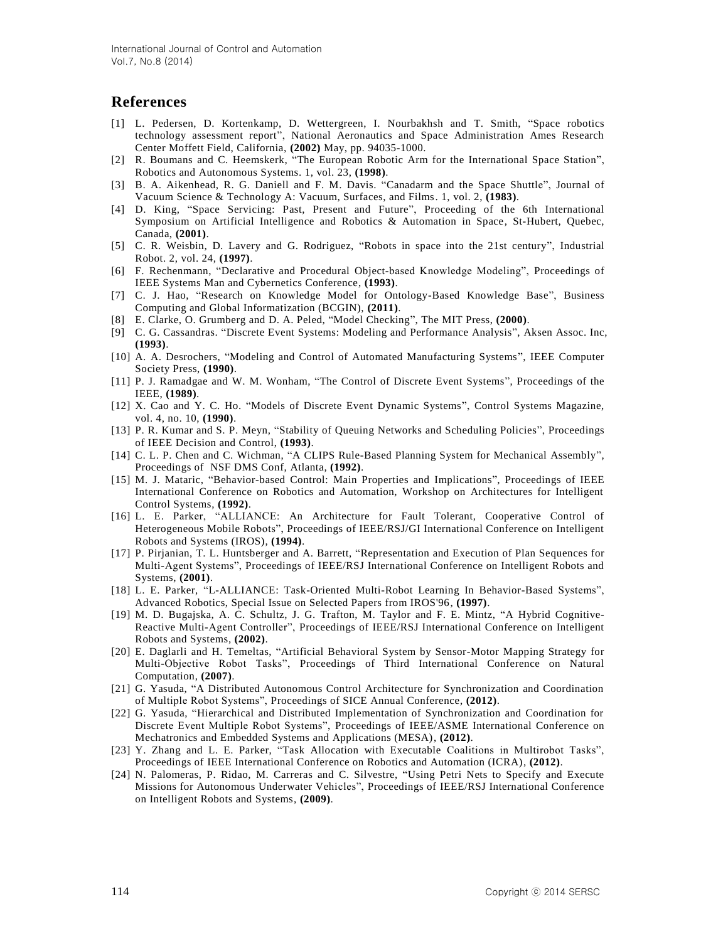## **References**

- [1] L. Pedersen, D. Kortenkamp, D. Wettergreen, I. Nourbakhsh and T. Smith, "Space robotics technology assessment report", National Aeronautics and Space Administration Ames Research Center Moffett Field, California, **(2002)** May, pp. 94035-1000.
- [2] R. Boumans and C. Heemskerk, "The European Robotic Arm for the International Space Station", Robotics and Autonomous Systems. 1, vol. 23, **(1998)**.
- [3] B. A. Aikenhead, R. G. Daniell and F. M. Davis. "Canadarm and the Space Shuttle", Journal of Vacuum Science & Technology A: Vacuum, Surfaces, and Films. 1, vol. 2, **(1983)**.
- [4] D. King, "Space Servicing: Past, Present and Future", Proceeding of the 6th International Symposium on Artificial Intelligence and Robotics & Automation in Space, St-Hubert, Quebec, Canada, **(2001)**.
- [5] C. R. Weisbin, D. Lavery and G. Rodriguez, "Robots in space into the 21st century", Industrial Robot. 2, vol. 24, **(1997)**.
- [6] F. Rechenmann, "Declarative and Procedural Object-based Knowledge Modeling", Proceedings of IEEE Systems Man and Cybernetics Conference, **(1993)**.
- [7] C. J. Hao, "Research on Knowledge Model for Ontology-Based Knowledge Base", Business Computing and Global Informatization (BCGIN), **(2011)**.
- [8] E. Clarke, O. Grumberg and D. A. Peled, "Model Checking", The MIT Press, **(2000)**.
- [9] C. G. Cassandras. "Discrete Event Systems: Modeling and Performance Analysis", Aksen Assoc. Inc, **(1993)**.
- [10] A. A. Desrochers, "Modeling and Control of Automated Manufacturing Systems", IEEE Computer Society Press, **(1990)**.
- [11] P. J. Ramadgae and W. M. Wonham, "The Control of Discrete Event Systems", Proceedings of the IEEE, **(1989)**.
- [12] X. Cao and Y. C. Ho. "Models of Discrete Event Dynamic Systems", Control Systems Magazine, vol. 4, no. 10, **(1990)**.
- [13] P. R. Kumar and S. P. Meyn, "Stability of Queuing Networks and Scheduling Policies", Proceedings of IEEE Decision and Control, **(1993)**.
- [14] C. L. P. Chen and C. Wichman, "A CLIPS Rule-Based Planning System for Mechanical Assembly", Proceedings of NSF DMS Conf, Atlanta, **(1992)**.
- [15] M. J. Mataric, "Behavior-based Control: Main Properties and Implications", Proceedings of IEEE International Conference on Robotics and Automation, Workshop on Architectures for Intelligent Control Systems, **(1992)**.
- [16] L. E. Parker, "ALLIANCE: An Architecture for Fault Tolerant, Cooperative Control of Heterogeneous Mobile Robots", Proceedings of IEEE/RSJ/GI International Conference on Intelligent Robots and Systems (IROS), **(1994)**.
- [17] P. Pirjanian, T. L. Huntsberger and A. Barrett, "Representation and Execution of Plan Sequences for Multi-Agent Systems", Proceedings of IEEE/RSJ International Conference on Intelligent Robots and Systems, **(2001)**.
- [18] L. E. Parker, "L-ALLIANCE: Task-Oriented Multi-Robot Learning In Behavior-Based Systems", Advanced Robotics, Special Issue on Selected Papers from IROS'96, **(1997)**.
- [19] M. D. Bugajska, A. C. Schultz, J. G. Trafton, M. Taylor and F. E. Mintz, "A Hybrid Cognitive-Reactive Multi-Agent Controller", Proceedings of IEEE/RSJ International Conference on Intelligent Robots and Systems, **(2002)**.
- [20] E. Daglarli and H. Temeltas, "Artificial Behavioral System by Sensor-Motor Mapping Strategy for Multi-Objective Robot Tasks", Proceedings of Third International Conference on Natural Computation, **(2007)**.
- [21] G. Yasuda, "A Distributed Autonomous Control Architecture for Synchronization and Coordination of Multiple Robot Systems", Proceedings of SICE Annual Conference, **(2012)**.
- [22] G. Yasuda, "Hierarchical and Distributed Implementation of Synchronization and Coordination for Discrete Event Multiple Robot Systems", Proceedings of IEEE/ASME International Conference on Mechatronics and Embedded Systems and Applications (MESA), **(2012)**.
- [23] Y. Zhang and L. E. Parker, "Task Allocation with Executable Coalitions in Multirobot Tasks", Proceedings of IEEE International Conference on Robotics and Automation (ICRA), **(2012)**.
- [24] N. Palomeras, P. Ridao, M. Carreras and C. Silvestre, "Using Petri Nets to Specify and Execute Missions for Autonomous Underwater Vehicles", Proceedings of IEEE/RSJ International Conference on Intelligent Robots and Systems, **(2009)**.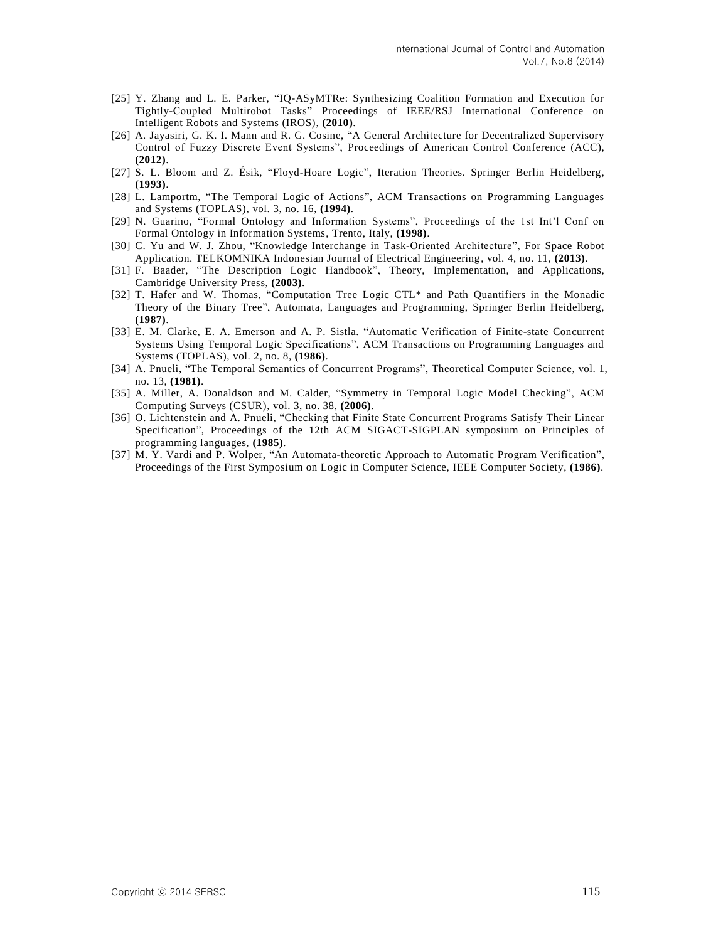- [25] Y. Zhang and L. E. Parker, "IQ-ASyMTRe: Synthesizing Coalition Formation and Execution for Tightly-Coupled Multirobot Tasks" Proceedings of IEEE/RSJ International Conference on Intelligent Robots and Systems (IROS), **(2010)**.
- [26] A. Jayasiri, G. K. I. Mann and R. G. Cosine, "A General Architecture for Decentralized Supervisory Control of Fuzzy Discrete Event Systems", Proceedings of American Control Conference (ACC), **(2012)**.
- [27] S. L. Bloom and Z. Ésik, "Floyd-Hoare Logic", Iteration Theories. Springer Berlin Heidelberg, **(1993)**.
- [28] L. Lamportm, "The Temporal Logic of Actions", ACM Transactions on Programming Languages and Systems (TOPLAS), vol. 3, no. 16, **(1994)**.
- [29] N. Guarino, "Formal Ontology and Information Systems", Proceedings of the 1st Int'l Conf on Formal Ontology in Information Systems, Trento, Italy, **(1998)**.
- [30] C. Yu and W. J. Zhou, "Knowledge Interchange in Task-Oriented Architecture", For Space Robot Application. TELKOMNIKA Indonesian Journal of Electrical Engineering, vol. 4, no. 11, **(2013)**.
- [31] F. Baader, "The Description Logic Handbook", Theory, Implementation, and Applications, Cambridge University Press, **(2003)**.
- [32] T. Hafer and W. Thomas, "Computation Tree Logic CTL\* and Path Quantifiers in the Monadic Theory of the Binary Tree", Automata, Languages and Programming, Springer Berlin Heidelberg, **(1987)**.
- [33] E. M. Clarke, E. A. Emerson and A. P. Sistla. "Automatic Verification of Finite-state Concurrent Systems Using Temporal Logic Specifications", ACM Transactions on Programming Languages and Systems (TOPLAS), vol. 2, no. 8, **(1986)**.
- [34] A. Pnueli, "The Temporal Semantics of Concurrent Programs", Theoretical Computer Science, vol. 1, no. 13, **(1981)**.
- [35] A. Miller, A. Donaldson and M. Calder, "Symmetry in Temporal Logic Model Checking", ACM Computing Surveys (CSUR), vol. 3, no. 38, **(2006)**.
- [36] O. Lichtenstein and A. Pnueli, "Checking that Finite State Concurrent Programs Satisfy Their Linear Specification", Proceedings of the 12th ACM SIGACT-SIGPLAN symposium on Principles of programming languages, **(1985)**.
- [37] M. Y. Vardi and P. Wolper, "An Automata-theoretic Approach to Automatic Program Verification", Proceedings of the First Symposium on Logic in Computer Science, IEEE Computer Society, **(1986)**.